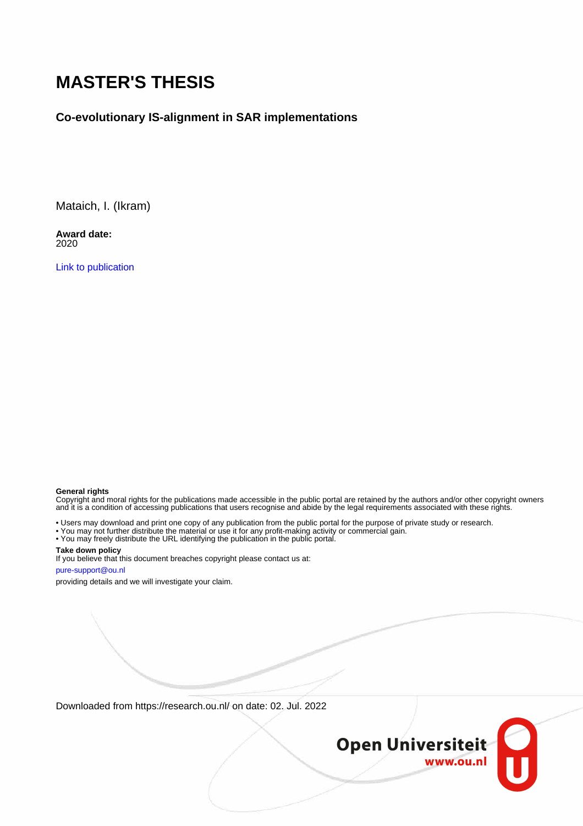# **MASTER'S THESIS**

#### **Co-evolutionary IS-alignment in SAR implementations**

Mataich, I. (Ikram)

**Award date:** 2020

[Link to publication](https://research.ou.nl/en/studentTheses/c146a136-8e3a-48a3-9e8a-41d6343140e1)

#### **General rights**

Copyright and moral rights for the publications made accessible in the public portal are retained by the authors and/or other copyright owners and it is a condition of accessing publications that users recognise and abide by the legal requirements associated with these rights.

• Users may download and print one copy of any publication from the public portal for the purpose of private study or research.

- You may not further distribute the material or use it for any profit-making activity or commercial gain.
- You may freely distribute the URL identifying the publication in the public portal.

#### **Take down policy**

If you believe that this document breaches copyright please contact us at: pure-support@ou.nl

providing details and we will investigate your claim.

Downloaded from https://research.ou.nl/ on date: 02. Jul. 2022

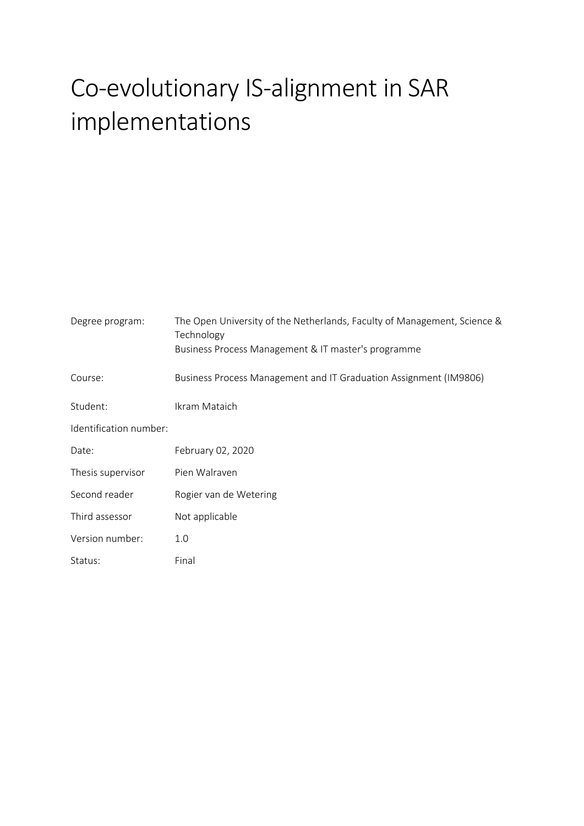# Co-evolutionary IS-alignment in SAR implementations

| Degree program:        | The Open University of the Netherlands, Faculty of Management, Science &<br>Technology<br>Business Process Management & IT master's programme |
|------------------------|-----------------------------------------------------------------------------------------------------------------------------------------------|
| Course:                | Business Process Management and IT Graduation Assignment (IM9806)                                                                             |
| Student:               | Ikram Mataich                                                                                                                                 |
| Identification number: |                                                                                                                                               |
| Date:                  | February 02, 2020                                                                                                                             |
| Thesis supervisor      | Pien Walraven                                                                                                                                 |
| Second reader          | Rogier van de Wetering                                                                                                                        |
| Third assessor         | Not applicable                                                                                                                                |
| Version number:        | 1.0                                                                                                                                           |
| Status:                | Final                                                                                                                                         |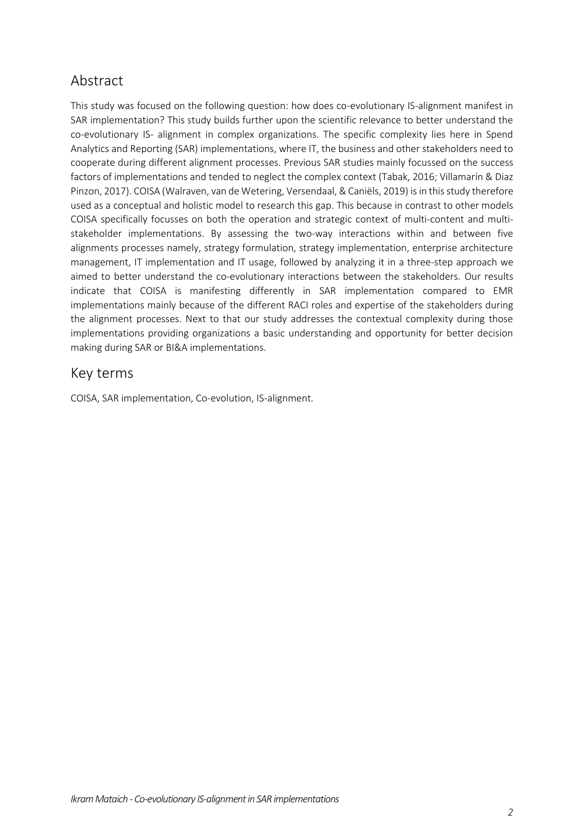#### Abstract

This study was focused on the following question: how does co-evolutionary IS-alignment manifest in SAR implementation? This study builds further upon the scientific relevance to better understand the co-evolutionary IS- alignment in complex organizations. The specific complexity lies here in Spend Analytics and Reporting (SAR) implementations, where IT, the business and other stakeholders need to cooperate during different alignment processes. Previous SAR studies mainly focussed on the success factors of implementations and tended to neglect the complex context (Tabak, 2016; Villamarín & Diaz Pinzon, 2017). COISA (Walraven, van de Wetering, Versendaal, & Caniëls, 2019) is in this study therefore used as a conceptual and holistic model to research this gap. This because in contrast to other models COISA specifically focusses on both the operation and strategic context of multi-content and multistakeholder implementations. By assessing the two-way interactions within and between five alignments processes namely, strategy formulation, strategy implementation, enterprise architecture management, IT implementation and IT usage, followed by analyzing it in a three-step approach we aimed to better understand the co-evolutionary interactions between the stakeholders. Our results indicate that COISA is manifesting differently in SAR implementation compared to EMR implementations mainly because of the different RACI roles and expertise of the stakeholders during the alignment processes. Next to that our study addresses the contextual complexity during those implementations providing organizations a basic understanding and opportunity for better decision making during SAR or BI&A implementations.

#### Key terms

COISA, SAR implementation, Co-evolution, IS-alignment.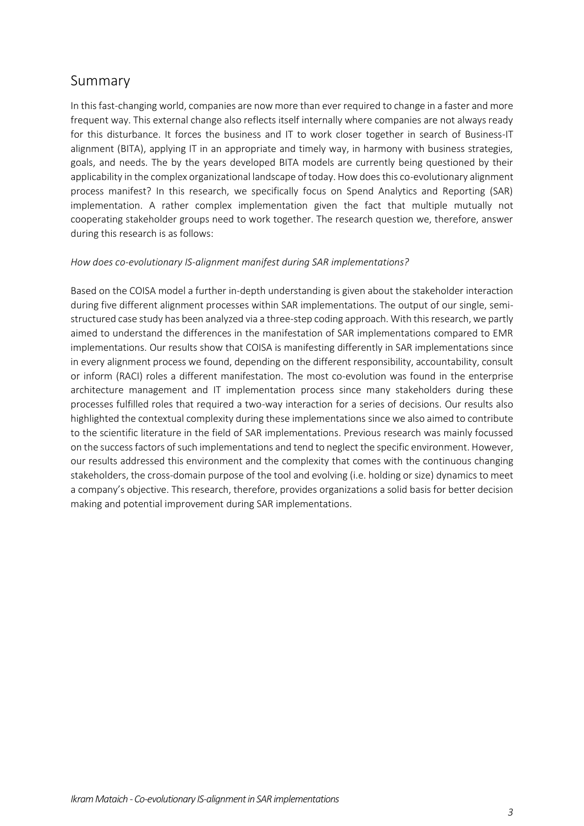#### Summary

In this fast-changing world, companies are now more than ever required to change in a faster and more frequent way. This external change also reflects itself internally where companies are not always ready for this disturbance. It forces the business and IT to work closer together in search of Business-IT alignment (BITA), applying IT in an appropriate and timely way, in harmony with business strategies, goals, and needs. The by the years developed BITA models are currently being questioned by their applicability in the complex organizational landscape of today. How does this co-evolutionary alignment process manifest? In this research, we specifically focus on Spend Analytics and Reporting (SAR) implementation. A rather complex implementation given the fact that multiple mutually not cooperating stakeholder groups need to work together. The research question we, therefore, answer during this research is as follows:

#### *How does co-evolutionary IS-alignment manifest during SAR implementations?*

Based on the COISA model a further in-depth understanding is given about the stakeholder interaction during five different alignment processes within SAR implementations. The output of our single, semistructured case study has been analyzed via a three-step coding approach. With this research, we partly aimed to understand the differences in the manifestation of SAR implementations compared to EMR implementations. Our results show that COISA is manifesting differently in SAR implementations since in every alignment process we found, depending on the different responsibility, accountability, consult or inform (RACI) roles a different manifestation. The most co-evolution was found in the enterprise architecture management and IT implementation process since many stakeholders during these processes fulfilled roles that required a two-way interaction for a series of decisions. Our results also highlighted the contextual complexity during these implementations since we also aimed to contribute to the scientific literature in the field of SAR implementations. Previous research was mainly focussed on the success factors of such implementations and tend to neglect the specific environment. However, our results addressed this environment and the complexity that comes with the continuous changing stakeholders, the cross-domain purpose of the tool and evolving (i.e. holding or size) dynamics to meet a company's objective. This research, therefore, provides organizations a solid basis for better decision making and potential improvement during SAR implementations.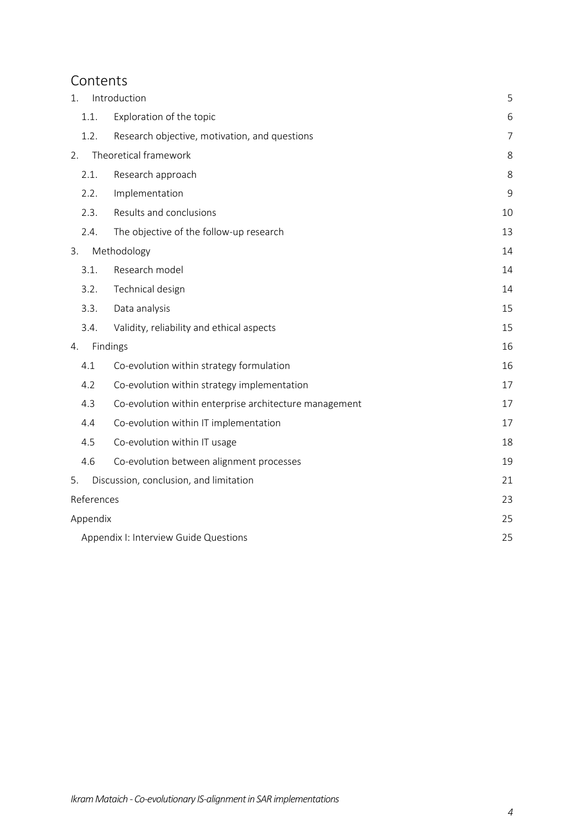#### Contents

| 1.         | Introduction                                           | 5              |  |
|------------|--------------------------------------------------------|----------------|--|
| 1.1.       | Exploration of the topic                               | 6              |  |
| 1.2.       | Research objective, motivation, and questions          | $\overline{7}$ |  |
| 2.         | Theoretical framework                                  | 8              |  |
| 2.1.       | Research approach                                      | 8              |  |
| 2.2.       | Implementation                                         | 9              |  |
| 2.3.       | Results and conclusions                                | 10             |  |
| 2.4.       | The objective of the follow-up research                | 13             |  |
| 3.         | Methodology                                            | 14             |  |
| 3.1.       | Research model                                         | 14             |  |
| 3.2.       | Technical design                                       | 14             |  |
| 3.3.       | Data analysis                                          | 15             |  |
| 3.4.       | Validity, reliability and ethical aspects              | 15             |  |
| 4.         | Findings                                               | 16             |  |
| 4.1        | Co-evolution within strategy formulation               | 16             |  |
| 4.2        | Co-evolution within strategy implementation            | 17             |  |
| 4.3        | Co-evolution within enterprise architecture management | 17             |  |
| 4.4        | Co-evolution within IT implementation                  | 17             |  |
| 4.5        | Co-evolution within IT usage                           | 18             |  |
| 4.6        | Co-evolution between alignment processes               | 19             |  |
| 5.         | Discussion, conclusion, and limitation                 | 21             |  |
| References |                                                        | 23             |  |
| Appendix   |                                                        | 25             |  |
|            | Appendix I: Interview Guide Questions                  |                |  |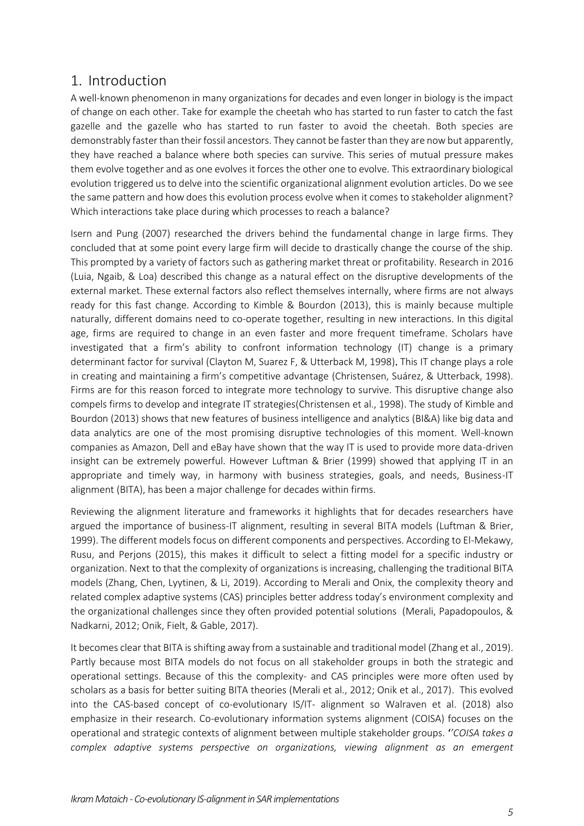#### <span id="page-5-0"></span>1. Introduction

A well-known phenomenon in many organizations for decades and even longer in biology is the impact of change on each other. Take for example the cheetah who has started to run faster to catch the fast gazelle and the gazelle who has started to run faster to avoid the cheetah. Both species are demonstrably faster than their fossil ancestors. They cannot be faster than they are now but apparently, they have reached a balance where both species can survive. This series of mutual pressure makes them evolve together and as one evolves it forces the other one to evolve. This extraordinary biological evolution triggered us to delve into the scientific organizational alignment evolution articles. Do we see the same pattern and how does this evolution process evolve when it comes to stakeholder alignment? Which interactions take place during which processes to reach a balance?

Isern and Pung (2007) researched the drivers behind the fundamental change in large firms. They concluded that at some point every large firm will decide to drastically change the course of the ship. This prompted by a variety of factors such as gathering market threat or profitability. Research in 2016 (Luia, Ngaib, & Loa) described this change as a natural effect on the disruptive developments of the external market. These external factors also reflect themselves internally, where firms are not always ready for this fast change. According to Kimble & Bourdon (2013), this is mainly because multiple naturally, different domains need to co-operate together, resulting in new interactions. In this digital age, firms are required to change in an even faster and more frequent timeframe. Scholars have investigated that a firm's ability to confront information technology (IT) change is a primary determinant factor for survival (Clayton M, Suarez F, & Utterback M, 1998). This IT change plays a role in creating and maintaining a firm's competitive advantage (Christensen, Suárez, & Utterback, 1998). Firms are for this reason forced to integrate more technology to survive. This disruptive change also compels firms to develop and integrate IT strategies(Christensen et al., 1998). The study of Kimble and Bourdon (2013) shows that new features of business intelligence and analytics (BI&A) like big data and data analytics are one of the most promising disruptive technologies of this moment. Well-known companies as Amazon, Dell and eBay have shown that the way IT is used to provide more data-driven insight can be extremely powerful. However Luftman & Brier (1999) showed that applying IT in an appropriate and timely way, in harmony with business strategies, goals, and needs, Business-IT alignment (BITA), has been a major challenge for decades within firms.

Reviewing the alignment literature and frameworks it highlights that for decades researchers have argued the importance of business-IT alignment, resulting in several BITA models (Luftman & Brier, 1999). The different models focus on different components and perspectives. According to El-Mekawy, Rusu, and Perjons (2015), this makes it difficult to select a fitting model for a specific industry or organization. Next to that the complexity of organizations is increasing, challenging the traditional BITA models (Zhang, Chen, Lyytinen, & Li, 2019). According to Merali and Onix, the complexity theory and related complex adaptive systems (CAS) principles better address today's environment complexity and the organizational challenges since they often provided potential solutions (Merali, Papadopoulos, & Nadkarni, 2012; Onik, Fielt, & Gable, 2017).

It becomes clear that BITA is shifting away from a sustainable and traditional model (Zhang et al., 2019). Partly because most BITA models do not focus on all stakeholder groups in both the strategic and operational settings. Because of this the complexity- and CAS principles were more often used by scholars as a basis for better suiting BITA theories (Merali et al., 2012; Onik et al., 2017). This evolved into the CAS-based concept of co-evolutionary IS/IT- alignment so Walraven et al. (2018) also emphasize in their research. Co-evolutionary information systems alignment (COISA) focuses on the operational and strategic contexts of alignment between multiple stakeholder groups. '*'COISA takes a complex adaptive systems perspective on organizations, viewing alignment as an emergent*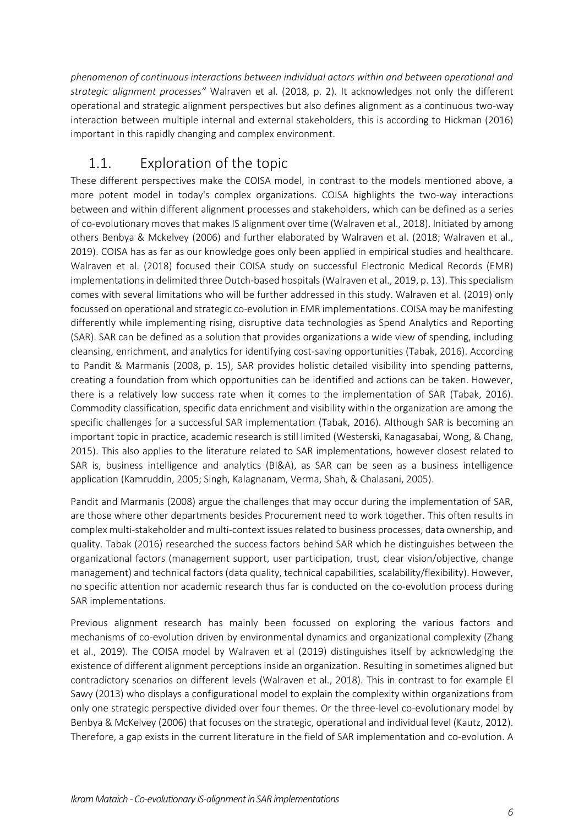*phenomenon of continuous interactions between individual actors within and between operational and strategic alignment processes"* Walraven et al. (2018, p. 2)*.* It acknowledges not only the different operational and strategic alignment perspectives but also defines alignment as a continuous two-way interaction between multiple internal and external stakeholders, this is according to Hickman (2016) important in this rapidly changing and complex environment.

## <span id="page-6-0"></span>1.1. Exploration of the topic

These different perspectives make the COISA model, in contrast to the models mentioned above, a more potent model in today's complex organizations. COISA highlights the two-way interactions between and within different alignment processes and stakeholders, which can be defined as a series of co-evolutionary moves that makes IS alignment over time (Walraven et al., 2018). Initiated by among others Benbya & Mckelvey (2006) and further elaborated by Walraven et al. (2018; Walraven et al., 2019). COISA has as far as our knowledge goes only been applied in empirical studies and healthcare. Walraven et al. (2018) focused their COISA study on successful Electronic Medical Records (EMR) implementations in delimited three Dutch-based hospitals (Walraven et al., 2019, p. 13). This specialism comes with several limitations who will be further addressed in this study. Walraven et al. (2019) only focussed on operational and strategic co-evolution in EMR implementations. COISA may be manifesting differently while implementing rising, disruptive data technologies as Spend Analytics and Reporting (SAR). SAR can be defined as a solution that provides organizations a wide view of spending, including cleansing, enrichment, and analytics for identifying cost-saving opportunities (Tabak, 2016). According to Pandit & Marmanis (2008, p. 15), SAR provides holistic detailed visibility into spending patterns, creating a foundation from which opportunities can be identified and actions can be taken. However, there is a relatively low success rate when it comes to the implementation of SAR (Tabak, 2016). Commodity classification, specific data enrichment and visibility within the organization are among the specific challenges for a successful SAR implementation (Tabak, 2016). Although SAR is becoming an important topic in practice, academic research is still limited (Westerski, Kanagasabai, Wong, & Chang, 2015). This also applies to the literature related to SAR implementations, however closest related to SAR is, business intelligence and analytics (BI&A), as SAR can be seen as a business intelligence application (Kamruddin, 2005; Singh, Kalagnanam, Verma, Shah, & Chalasani, 2005).

Pandit and Marmanis (2008) argue the challenges that may occur during the implementation of SAR, are those where other departments besides Procurement need to work together. This often results in complex multi-stakeholder and multi-context issues related to business processes, data ownership, and quality. Tabak (2016) researched the success factors behind SAR which he distinguishes between the organizational factors (management support, user participation, trust, clear vision/objective, change management) and technical factors (data quality, technical capabilities, scalability/flexibility). However, no specific attention nor academic research thus far is conducted on the co-evolution process during SAR implementations.

Previous alignment research has mainly been focussed on exploring the various factors and mechanisms of co-evolution driven by environmental dynamics and organizational complexity (Zhang et al., 2019). The COISA model by Walraven et al (2019) distinguishes itself by acknowledging the existence of different alignment perceptions inside an organization. Resulting in sometimes aligned but contradictory scenarios on different levels (Walraven et al., 2018). This in contrast to for example El Sawy (2013) who displays a configurational model to explain the complexity within organizations from only one strategic perspective divided over four themes. Or the three-level co-evolutionary model by Benbya & McKelvey (2006) that focuses on the strategic, operational and individual level (Kautz, 2012). Therefore, a gap exists in the current literature in the field of SAR implementation and co-evolution. A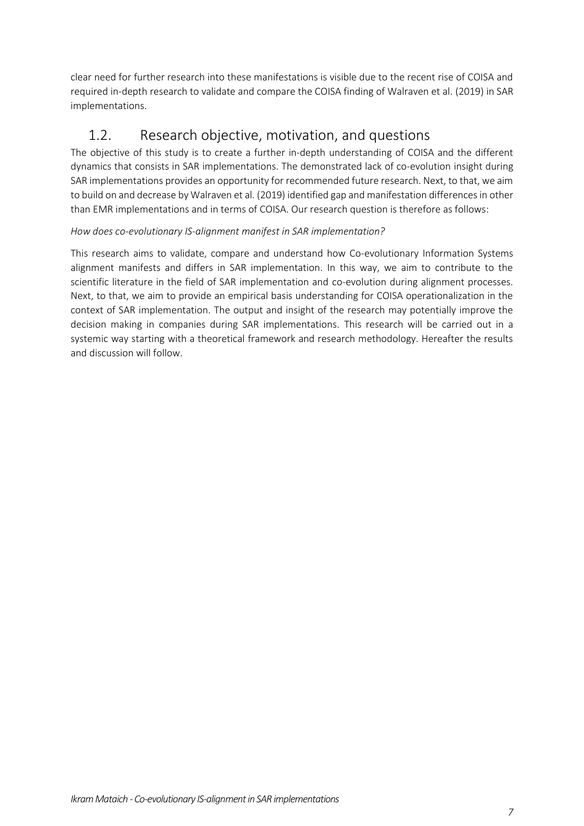clear need for further research into these manifestations is visible due to the recent rise of COISA and required in-depth research to validate and compare the COISA finding of Walraven et al. (2019) in SAR implementations.

# <span id="page-7-0"></span>1.2. Research objective, motivation, and questions

The objective of this study is to create a further in-depth understanding of COISA and the different dynamics that consists in SAR implementations. The demonstrated lack of co-evolution insight during SAR implementations provides an opportunity for recommended future research. Next, to that, we aim to build on and decrease by Walraven et al. (2019) identified gap and manifestation differences in other than EMR implementations and in terms of COISA. Our research question is therefore as follows:

#### *How does co-evolutionary IS-alignment manifest in SAR implementation?*

This research aims to validate, compare and understand how Co-evolutionary Information Systems alignment manifests and differs in SAR implementation. In this way, we aim to contribute to the scientific literature in the field of SAR implementation and co-evolution during alignment processes. Next, to that, we aim to provide an empirical basis understanding for COISA operationalization in the context of SAR implementation. The output and insight of the research may potentially improve the decision making in companies during SAR implementations. This research will be carried out in a systemic way starting with a theoretical framework and research methodology. Hereafter the results and discussion will follow.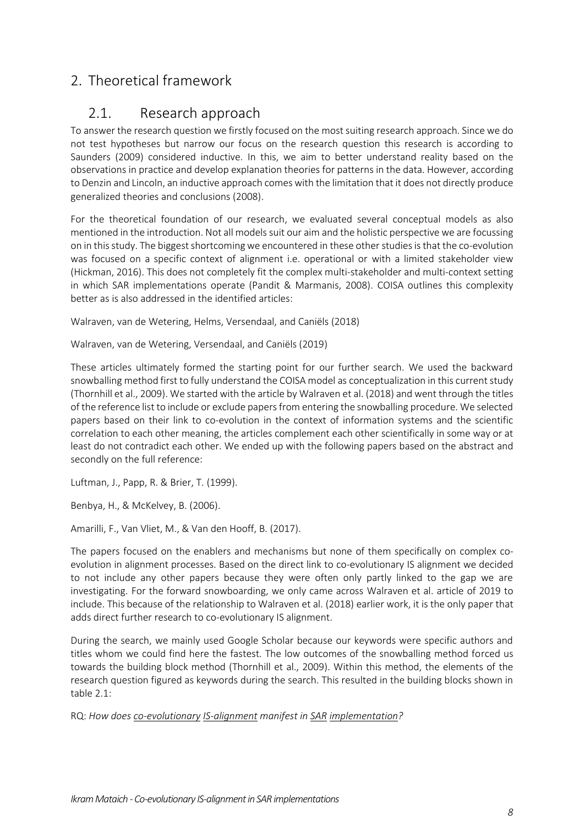# <span id="page-8-1"></span><span id="page-8-0"></span>2. Theoretical framework

#### 2.1. Research approach

To answer the research question we firstly focused on the most suiting research approach. Since we do not test hypotheses but narrow our focus on the research question this research is according to Saunders (2009) considered inductive. In this, we aim to better understand reality based on the observations in practice and develop explanation theories for patterns in the data. However, according to Denzin and Lincoln, an inductive approach comes with the limitation that it does not directly produce generalized theories and conclusions (2008).

For the theoretical foundation of our research, we evaluated several conceptual models as also mentioned in the introduction. Not all models suit our aim and the holistic perspective we are focussing on in this study. The biggest shortcoming we encountered in these other studies is that the co-evolution was focused on a specific context of alignment i.e. operational or with a limited stakeholder view (Hickman, 2016). This does not completely fit the complex multi-stakeholder and multi-context setting in which SAR implementations operate (Pandit & Marmanis, 2008). COISA outlines this complexity better as is also addressed in the identified articles:

Walraven, van de Wetering, Helms, Versendaal, and Caniëls (2018)

Walraven, van de Wetering, Versendaal, and Caniëls (2019)

These articles ultimately formed the starting point for our further search. We used the backward snowballing method first to fully understand the COISA model as conceptualization in this current study (Thornhill et al., 2009). We started with the article by Walraven et al. (2018) and went through the titles of the reference list to include or exclude papers from entering the snowballing procedure. We selected papers based on their link to co-evolution in the context of information systems and the scientific correlation to each other meaning, the articles complement each other scientifically in some way or at least do not contradict each other. We ended up with the following papers based on the abstract and secondly on the full reference:

Luftman, J., Papp, R. & Brier, T. (1999).

Benbya, H., & McKelvey, B. (2006).

Amarilli, F., Van Vliet, M., & Van den Hooff, B. (2017).

The papers focused on the enablers and mechanisms but none of them specifically on complex coevolution in alignment processes. Based on the direct link to co-evolutionary IS alignment we decided to not include any other papers because they were often only partly linked to the gap we are investigating. For the forward snowboarding, we only came across Walraven et al. article of 2019 to include. This because of the relationship to Walraven et al. (2018) earlier work, it is the only paper that adds direct further research to co-evolutionary IS alignment.

During the search, we mainly used Google Scholar because our keywords were specific authors and titles whom we could find here the fastest. The low outcomes of the snowballing method forced us towards the building block method (Thornhill et al., 2009). Within this method, the elements of the research question figured as keywords during the search. This resulted in the building blocks shown in table 2.1:

RQ: *How does co-evolutionary IS-alignment manifest in SAR implementation?*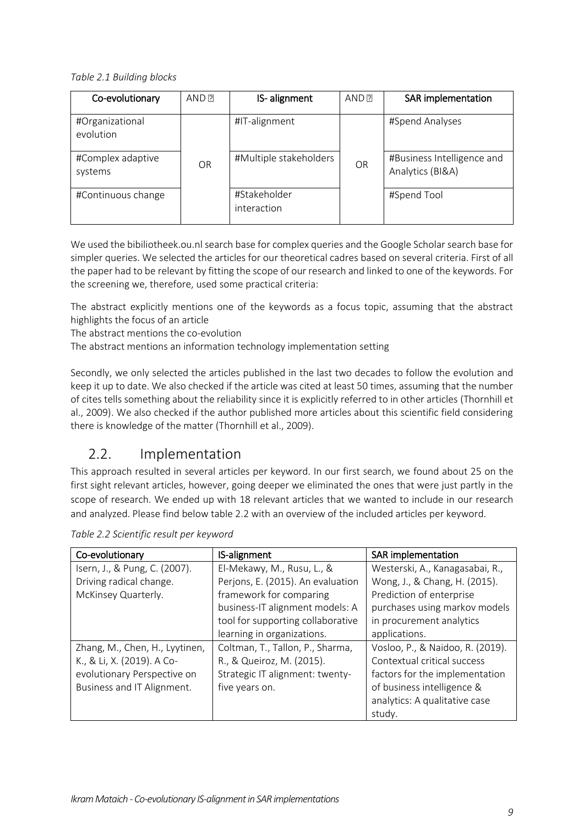*Table 2.1 Building blocks*

| Co-evolutionary              | AND <sub>R</sub> | IS-alignment                | AND P     | SAR implementation                             |
|------------------------------|------------------|-----------------------------|-----------|------------------------------------------------|
| #Organizational<br>evolution |                  | #IT-alignment               |           | #Spend Analyses                                |
| #Complex adaptive<br>systems | OR               | #Multiple stakeholders      | <b>OR</b> | #Business Intelligence and<br>Analytics (BI&A) |
| #Continuous change           |                  | #Stakeholder<br>interaction |           | #Spend Tool                                    |

We used the bibiliotheek.ou.nl search base for complex queries and the Google Scholar search base for simpler queries. We selected the articles for our theoretical cadres based on several criteria. First of all the paper had to be relevant by fitting the scope of our research and linked to one of the keywords. For the screening we, therefore, used some practical criteria:

The abstract explicitly mentions one of the keywords as a focus topic, assuming that the abstract highlights the focus of an article

The abstract mentions the co-evolution

The abstract mentions an information technology implementation setting

Secondly, we only selected the articles published in the last two decades to follow the evolution and keep it up to date. We also checked if the article was cited at least 50 times, assuming that the number of cites tells something about the reliability since it is explicitly referred to in other articles (Thornhill et al., 2009). We also checked if the author published more articles about this scientific field considering there is knowledge of the matter (Thornhill et al., 2009).

#### <span id="page-9-0"></span>2.2. Implementation

This approach resulted in several articles per keyword. In our first search, we found about 25 on the first sight relevant articles, however, going deeper we eliminated the ones that were just partly in the scope of research. We ended up with 18 relevant articles that we wanted to include in our research and analyzed. Please find below table 2.2 with an overview of the included articles per keyword.

| Co-evolutionary                | <b>IS-alignment</b>               | <b>SAR</b> implementation        |
|--------------------------------|-----------------------------------|----------------------------------|
| Isern, J., & Pung, C. (2007).  | El-Mekawy, M., Rusu, L., &        | Westerski, A., Kanagasabai, R.,  |
| Driving radical change.        | Perjons, E. (2015). An evaluation | Wong, J., & Chang, H. (2015).    |
| McKinsey Quarterly.            | framework for comparing           | Prediction of enterprise         |
|                                | business-IT alignment models: A   | purchases using markov models    |
|                                | tool for supporting collaborative | in procurement analytics         |
|                                | learning in organizations.        | applications.                    |
| Zhang, M., Chen, H., Lyytinen, | Coltman, T., Tallon, P., Sharma,  | Vosloo, P., & Naidoo, R. (2019). |
| K., & Li, X. (2019). A Co-     | R., & Queiroz, M. (2015).         | Contextual critical success      |
| evolutionary Perspective on    | Strategic IT alignment: twenty-   | factors for the implementation   |
| Business and IT Alignment.     | five years on.                    | of business intelligence &       |
|                                |                                   | analytics: A qualitative case    |
|                                |                                   | study.                           |

*Table 2.2 Scientific result per keyword*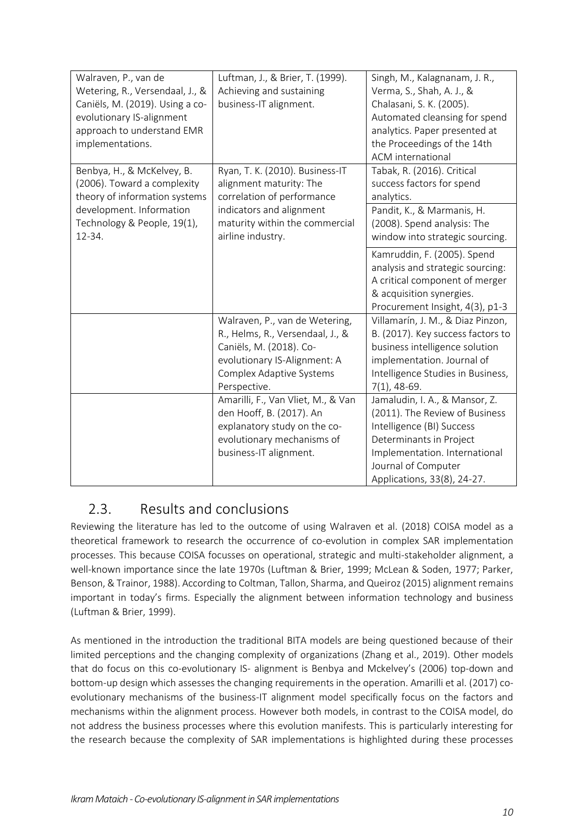| Walraven, P., van de<br>Wetering, R., Versendaal, J., &<br>Caniëls, M. (2019). Using a co-<br>evolutionary IS-alignment<br>approach to understand EMR<br>implementations. | Luftman, J., & Brier, T. (1999).<br>Achieving and sustaining<br>business-IT alignment.                                                                                    | Singh, M., Kalagnanam, J. R.,<br>Verma, S., Shah, A. J., &<br>Chalasani, S. K. (2005).<br>Automated cleansing for spend<br>analytics. Paper presented at<br>the Proceedings of the 14th<br><b>ACM</b> international |
|---------------------------------------------------------------------------------------------------------------------------------------------------------------------------|---------------------------------------------------------------------------------------------------------------------------------------------------------------------------|---------------------------------------------------------------------------------------------------------------------------------------------------------------------------------------------------------------------|
| Benbya, H., & McKelvey, B.<br>(2006). Toward a complexity<br>theory of information systems                                                                                | Ryan, T. K. (2010). Business-IT<br>alignment maturity: The<br>correlation of performance                                                                                  | Tabak, R. (2016). Critical<br>success factors for spend<br>analytics.                                                                                                                                               |
| development. Information<br>Technology & People, 19(1),<br>12-34.                                                                                                         | indicators and alignment<br>maturity within the commercial<br>airline industry.                                                                                           | Pandit, K., & Marmanis, H.<br>(2008). Spend analysis: The<br>window into strategic sourcing.                                                                                                                        |
|                                                                                                                                                                           |                                                                                                                                                                           | Kamruddin, F. (2005). Spend<br>analysis and strategic sourcing:<br>A critical component of merger<br>& acquisition synergies.<br>Procurement Insight, 4(3), p1-3                                                    |
|                                                                                                                                                                           | Walraven, P., van de Wetering,<br>R., Helms, R., Versendaal, J., &<br>Caniëls, M. (2018). Co-<br>evolutionary IS-Alignment: A<br>Complex Adaptive Systems<br>Perspective. | Villamarín, J. M., & Diaz Pinzon,<br>B. (2017). Key success factors to<br>business intelligence solution<br>implementation. Journal of<br>Intelligence Studies in Business,<br>$7(1)$ , 48-69.                      |
|                                                                                                                                                                           | Amarilli, F., Van Vliet, M., & Van<br>den Hooff, B. (2017). An<br>explanatory study on the co-<br>evolutionary mechanisms of<br>business-IT alignment.                    | Jamaludin, I. A., & Mansor, Z.<br>(2011). The Review of Business<br>Intelligence (BI) Success<br>Determinants in Project<br>Implementation. International<br>Journal of Computer<br>Applications, 33(8), 24-27.     |

#### <span id="page-10-0"></span>2.3. Results and conclusions

Reviewing the literature has led to the outcome of using Walraven et al. (2018) COISA model as a theoretical framework to research the occurrence of co-evolution in complex SAR implementation processes. This because COISA focusses on operational, strategic and multi-stakeholder alignment, a well-known importance since the late 1970s (Luftman & Brier, 1999; McLean & Soden, 1977; Parker, Benson, & Trainor, 1988). According to Coltman, Tallon, Sharma, and Queiroz (2015) alignment remains important in today's firms. Especially the alignment between information technology and business (Luftman & Brier, 1999).

As mentioned in the introduction the traditional BITA models are being questioned because of their limited perceptions and the changing complexity of organizations (Zhang et al., 2019). Other models that do focus on this co-evolutionary IS- alignment is Benbya and Mckelvey's (2006) top-down and bottom-up design which assesses the changing requirements in the operation. Amarilli et al. (2017) coevolutionary mechanisms of the business-IT alignment model specifically focus on the factors and mechanisms within the alignment process. However both models, in contrast to the COISA model, do not address the business processes where this evolution manifests. This is particularly interesting for the research because the complexity of SAR implementations is highlighted during these processes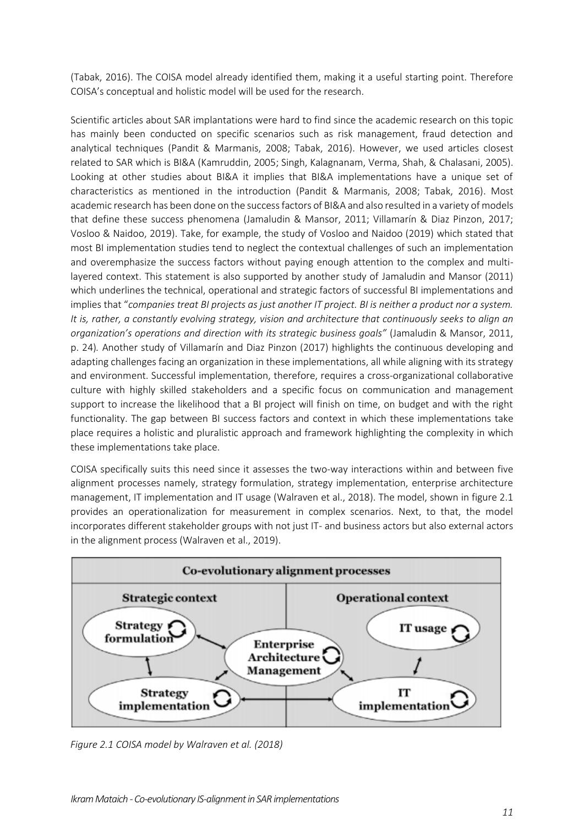(Tabak, 2016). The COISA model already identified them, making it a useful starting point. Therefore COISA's conceptual and holistic model will be used for the research.

Scientific articles about SAR implantations were hard to find since the academic research on this topic has mainly been conducted on specific scenarios such as risk management, fraud detection and analytical techniques (Pandit & Marmanis, 2008; Tabak, 2016). However, we used articles closest related to SAR which is BI&A (Kamruddin, 2005; Singh, Kalagnanam, Verma, Shah, & Chalasani, 2005). Looking at other studies about BI&A it implies that BI&A implementations have a unique set of characteristics as mentioned in the introduction (Pandit & Marmanis, 2008; Tabak, 2016). Most academic research has been done on the success factors of BI&A and also resulted in a variety of models that define these success phenomena (Jamaludin & Mansor, 2011; Villamarín & Diaz Pinzon, 2017; Vosloo & Naidoo, 2019). Take, for example, the study of Vosloo and Naidoo (2019) which stated that most BI implementation studies tend to neglect the contextual challenges of such an implementation and overemphasize the success factors without paying enough attention to the complex and multilayered context. This statement is also supported by another study of Jamaludin and Mansor (2011) which underlines the technical, operational and strategic factors of successful BI implementations and implies that "*companies treat BI projects as just another IT project. BI is neither a product nor a system. It is, rather, a constantly evolving strategy, vision and architecture that continuously seeks to align an organization's operations and direction with its strategic business goals"* (Jamaludin & Mansor, 2011, p. 24)*.* Another study of Villamarín and Diaz Pinzon (2017) highlights the continuous developing and adapting challenges facing an organization in these implementations, all while aligning with its strategy and environment. Successful implementation, therefore, requires a cross-organizational collaborative culture with highly skilled stakeholders and a specific focus on communication and management support to increase the likelihood that a BI project will finish on time, on budget and with the right functionality. The gap between BI success factors and context in which these implementations take place requires a holistic and pluralistic approach and framework highlighting the complexity in which these implementations take place.

COISA specifically suits this need since it assesses the two-way interactions within and between five alignment processes namely, strategy formulation, strategy implementation, enterprise architecture management, IT implementation and IT usage (Walraven et al., 2018). The model, shown in figure 2.1 provides an operationalization for measurement in complex scenarios. Next, to that, the model incorporates different stakeholder groups with not just IT- and business actors but also external actors in the alignment process (Walraven et al., 2019).



*Figure 2.1 COISA model by Walraven et al. (2018)*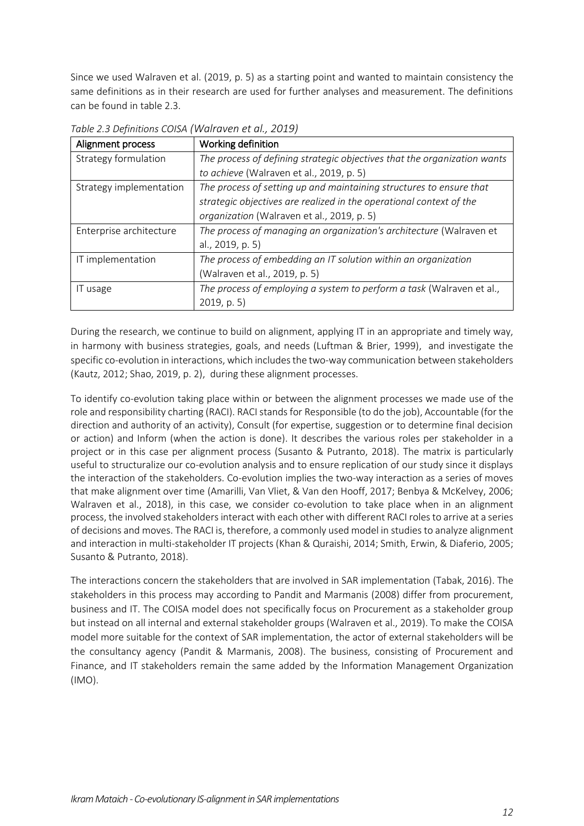Since we used Walraven et al. (2019, p. 5) as a starting point and wanted to maintain consistency the same definitions as in their research are used for further analyses and measurement. The definitions can be found in table 2.3.

| Alignment process       | Working definition                                                       |  |  |  |
|-------------------------|--------------------------------------------------------------------------|--|--|--|
| Strategy formulation    | The process of defining strategic objectives that the organization wants |  |  |  |
|                         | to achieve (Walraven et al., 2019, p. 5)                                 |  |  |  |
| Strategy implementation | The process of setting up and maintaining structures to ensure that      |  |  |  |
|                         | strategic objectives are realized in the operational context of the      |  |  |  |
|                         | organization (Walraven et al., 2019, p. 5)                               |  |  |  |
| Enterprise architecture | The process of managing an organization's architecture (Walraven et      |  |  |  |
|                         | al., 2019, p. 5)                                                         |  |  |  |
| IT implementation       | The process of embedding an IT solution within an organization           |  |  |  |
|                         | (Walraven et al., 2019, p. 5)                                            |  |  |  |
| IT usage                | The process of employing a system to perform a task (Walraven et al.,    |  |  |  |
|                         | $2019$ , p. 5)                                                           |  |  |  |

*Table 2.3 Definitions COISA (Walraven et al., 2019)*

During the research, we continue to build on alignment, applying IT in an appropriate and timely way, in harmony with business strategies, goals, and needs (Luftman & Brier, 1999), and investigate the specific co-evolution in interactions, which includes the two-way communication between stakeholders (Kautz, 2012; Shao, 2019, p. 2), during these alignment processes.

To identify co-evolution taking place within or between the alignment processes we made use of the role and responsibility charting (RACI). RACI stands for Responsible (to do the job), Accountable (for the direction and authority of an activity), Consult (for expertise, suggestion or to determine final decision or action) and Inform (when the action is done). It describes the various roles per stakeholder in a project or in this case per alignment process (Susanto & Putranto, 2018). The matrix is particularly useful to structuralize our co-evolution analysis and to ensure replication of our study since it displays the interaction of the stakeholders. Co-evolution implies the two-way interaction as a series of moves that make alignment over time (Amarilli, Van Vliet, & Van den Hooff, 2017; Benbya & McKelvey, 2006; Walraven et al., 2018), in this case, we consider co-evolution to take place when in an alignment process, the involved stakeholders interact with each other with different RACI roles to arrive at a series of decisions and moves. The RACI is, therefore, a commonly used model in studies to analyze alignment and interaction in multi-stakeholder IT projects (Khan & Quraishi, 2014; Smith, Erwin, & Diaferio, 2005; Susanto & Putranto, 2018).

The interactions concern the stakeholders that are involved in SAR implementation (Tabak, 2016). The stakeholders in this process may according to Pandit and Marmanis (2008) differ from procurement, business and IT. The COISA model does not specifically focus on Procurement as a stakeholder group but instead on all internal and external stakeholder groups (Walraven et al., 2019). To make the COISA model more suitable for the context of SAR implementation, the actor of external stakeholders will be the consultancy agency (Pandit & Marmanis, 2008). The business, consisting of Procurement and Finance, and IT stakeholders remain the same added by the Information Management Organization (IMO).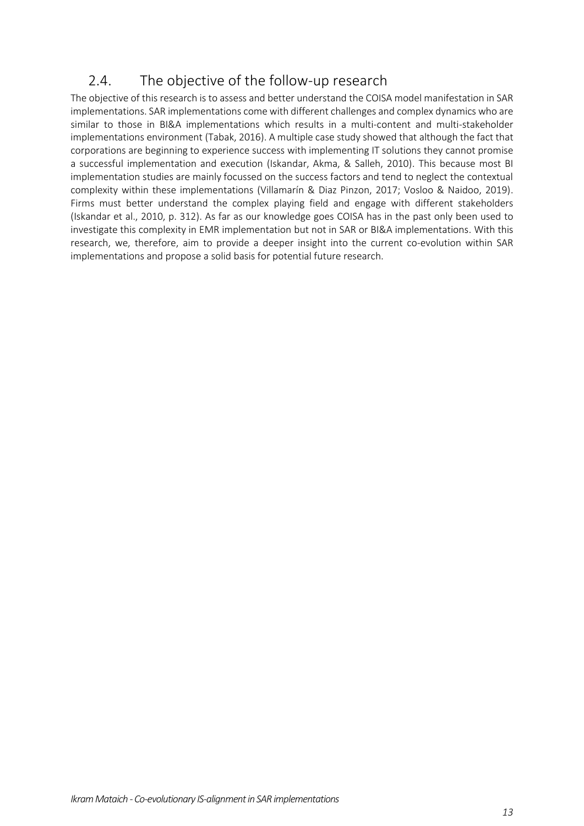# <span id="page-13-0"></span>2.4. The objective of the follow-up research

The objective of this research is to assess and better understand the COISA model manifestation in SAR implementations. SAR implementations come with different challenges and complex dynamics who are similar to those in BI&A implementations which results in a multi-content and multi-stakeholder implementations environment (Tabak, 2016). A multiple case study showed that although the fact that corporations are beginning to experience success with implementing IT solutions they cannot promise a successful implementation and execution (Iskandar, Akma, & Salleh, 2010). This because most BI implementation studies are mainly focussed on the success factors and tend to neglect the contextual complexity within these implementations (Villamarín & Diaz Pinzon, 2017; Vosloo & Naidoo, 2019). Firms must better understand the complex playing field and engage with different stakeholders (Iskandar et al., 2010, p. 312). As far as our knowledge goes COISA has in the past only been used to investigate this complexity in EMR implementation but not in SAR or BI&A implementations. With this research, we, therefore, aim to provide a deeper insight into the current co-evolution within SAR implementations and propose a solid basis for potential future research.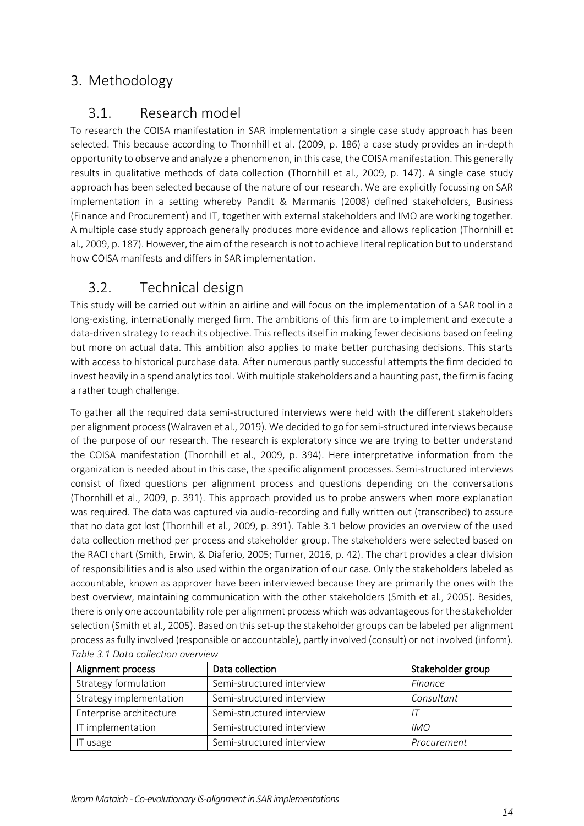## <span id="page-14-1"></span><span id="page-14-0"></span>3. Methodology

#### 3.1. Research model

To research the COISA manifestation in SAR implementation a single case study approach has been selected. This because according to Thornhill et al. (2009, p. 186) a case study provides an in-depth opportunity to observe and analyze a phenomenon, in this case, the COISA manifestation. This generally results in qualitative methods of data collection (Thornhill et al., 2009, p. 147). A single case study approach has been selected because of the nature of our research. We are explicitly focussing on SAR implementation in a setting whereby Pandit & Marmanis (2008) defined stakeholders, Business (Finance and Procurement) and IT, together with external stakeholders and IMO are working together. A multiple case study approach generally produces more evidence and allows replication (Thornhill et al., 2009, p. 187). However, the aim of the research is not to achieve literal replication but to understand how COISA manifests and differs in SAR implementation.

### <span id="page-14-2"></span>3.2. Technical design

This study will be carried out within an airline and will focus on the implementation of a SAR tool in a long-existing, internationally merged firm. The ambitions of this firm are to implement and execute a data-driven strategy to reach its objective. This reflects itself in making fewer decisions based on feeling but more on actual data. This ambition also applies to make better purchasing decisions. This starts with access to historical purchase data. After numerous partly successful attempts the firm decided to invest heavily in a spend analytics tool. With multiple stakeholders and a haunting past, the firm is facing a rather tough challenge.

To gather all the required data semi-structured interviews were held with the different stakeholders per alignment process (Walraven et al., 2019). We decided to go for semi-structured interviews because of the purpose of our research. The research is exploratory since we are trying to better understand the COISA manifestation (Thornhill et al., 2009, p. 394). Here interpretative information from the organization is needed about in this case, the specific alignment processes. Semi-structured interviews consist of fixed questions per alignment process and questions depending on the conversations (Thornhill et al., 2009, p. 391). This approach provided us to probe answers when more explanation was required. The data was captured via audio-recording and fully written out (transcribed) to assure that no data got lost (Thornhill et al., 2009, p. 391). Table 3.1 below provides an overview of the used data collection method per process and stakeholder group. The stakeholders were selected based on the RACI chart (Smith, Erwin, & Diaferio, 2005; Turner, 2016, p. 42). The chart provides a clear division of responsibilities and is also used within the organization of our case. Only the stakeholders labeled as accountable, known as approver have been interviewed because they are primarily the ones with the best overview, maintaining communication with the other stakeholders (Smith et al., 2005). Besides, there is only one accountability role per alignment process which was advantageous for the stakeholder selection (Smith et al., 2005). Based on this set-up the stakeholder groups can be labeled per alignment process as fully involved (responsible or accountable), partly involved (consult) or not involved (inform). *Table 3.1 Data collection overview*

| Alignment process       | Data collection           | Stakeholder group |
|-------------------------|---------------------------|-------------------|
| Strategy formulation    | Semi-structured interview | Finance           |
| Strategy implementation | Semi-structured interview | Consultant        |
| Enterprise architecture | Semi-structured interview |                   |
| IT implementation       | Semi-structured interview | <b>IMO</b>        |
| IT usage                | Semi-structured interview | Procurement       |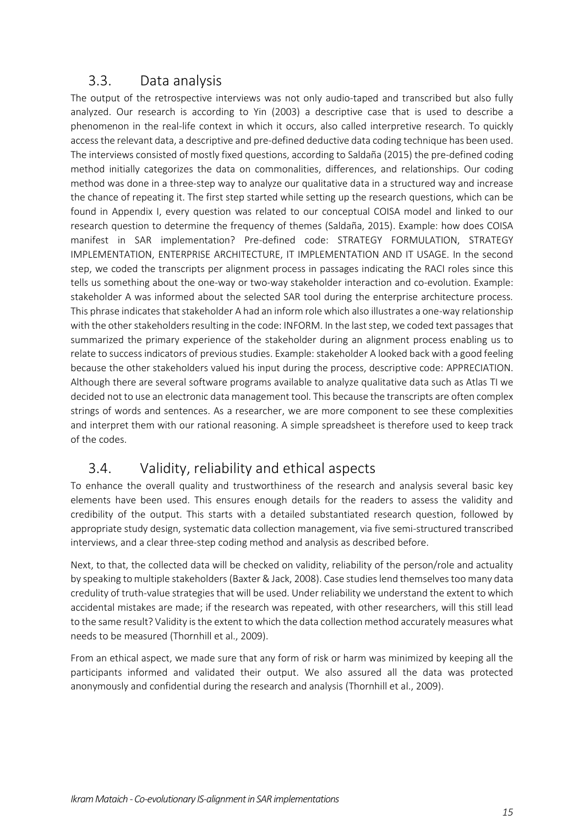#### 3.3. Data analysis

<span id="page-15-0"></span>The output of the retrospective interviews was not only audio-taped and transcribed but also fully analyzed. Our research is according to Yin (2003) a descriptive case that is used to describe a phenomenon in the real-life context in which it occurs, also called interpretive research. To quickly access the relevant data, a descriptive and pre-defined deductive data coding technique has been used. The interviews consisted of mostly fixed questions, according to Saldaña (2015) the pre-defined coding method initially categorizes the data on commonalities, differences, and relationships. Our coding method was done in a three-step way to analyze our qualitative data in a structured way and increase the chance of repeating it. The first step started while setting up the research questions, which can be found in Appendix I, every question was related to our conceptual COISA model and linked to our research question to determine the frequency of themes (Saldaña, 2015). Example: how does COISA manifest in SAR implementation? Pre-defined code: STRATEGY FORMULATION, STRATEGY IMPLEMENTATION, ENTERPRISE ARCHITECTURE, IT IMPLEMENTATION AND IT USAGE. In the second step, we coded the transcripts per alignment process in passages indicating the RACI roles since this tells us something about the one-way or two-way stakeholder interaction and co-evolution. Example: stakeholder A was informed about the selected SAR tool during the enterprise architecture process. This phrase indicates that stakeholder A had an inform role which also illustrates a one-way relationship with the other stakeholders resulting in the code: INFORM. In the last step, we coded text passages that summarized the primary experience of the stakeholder during an alignment process enabling us to relate to success indicators of previous studies. Example: stakeholder A looked back with a good feeling because the other stakeholders valued his input during the process, descriptive code: APPRECIATION. Although there are several software programs available to analyze qualitative data such as Atlas TI we decided not to use an electronic data management tool. This because the transcripts are often complex strings of words and sentences. As a researcher, we are more component to see these complexities and interpret them with our rational reasoning. A simple spreadsheet is therefore used to keep track of the codes.

# <span id="page-15-1"></span>3.4. Validity, reliability and ethical aspects

To enhance the overall quality and trustworthiness of the research and analysis several basic key elements have been used. This ensures enough details for the readers to assess the validity and credibility of the output. This starts with a detailed substantiated research question, followed by appropriate study design, systematic data collection management, via five semi-structured transcribed interviews, and a clear three-step coding method and analysis as described before.

Next, to that, the collected data will be checked on validity, reliability of the person/role and actuality by speaking to multiple stakeholders (Baxter & Jack, 2008). Case studies lend themselves too many data credulity of truth-value strategies that will be used. Under reliability we understand the extent to which accidental mistakes are made; if the research was repeated, with other researchers, will this still lead to the same result? Validity is the extent to which the data collection method accurately measures what needs to be measured (Thornhill et al., 2009).

From an ethical aspect, we made sure that any form of risk or harm was minimized by keeping all the participants informed and validated their output. We also assured all the data was protected anonymously and confidential during the research and analysis (Thornhill et al., 2009).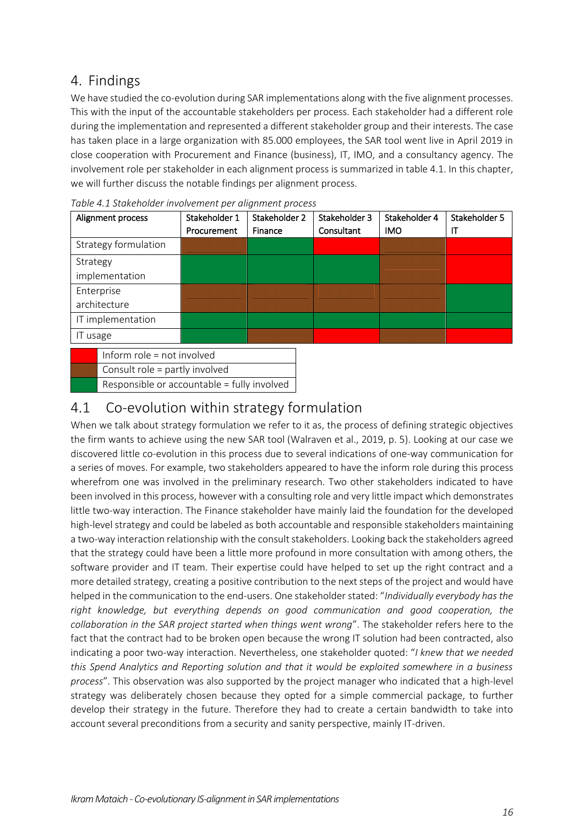#### <span id="page-16-0"></span>4. Findings

We have studied the co-evolution during SAR implementations along with the five alignment processes. This with the input of the accountable stakeholders per process. Each stakeholder had a different role during the implementation and represented a different stakeholder group and their interests. The case has taken place in a large organization with 85.000 employees, the SAR tool went live in April 2019 in close cooperation with Procurement and Finance (business), IT, IMO, and a consultancy agency. The involvement role per stakeholder in each alignment process is summarized in table 4.1. In this chapter, we will further discuss the notable findings per alignment process.

| Alignment process                                                                                                                                                                                                              | Stakeholder 1 | Stakeholder 2 | Stakeholder 3 | Stakeholder 4 | Stakeholder 5 |
|--------------------------------------------------------------------------------------------------------------------------------------------------------------------------------------------------------------------------------|---------------|---------------|---------------|---------------|---------------|
|                                                                                                                                                                                                                                | Procurement   | Finance       | Consultant    | <b>IMO</b>    | П             |
| Strategy formulation                                                                                                                                                                                                           |               |               |               |               |               |
| Strategy                                                                                                                                                                                                                       |               |               |               |               |               |
| implementation                                                                                                                                                                                                                 |               |               |               |               |               |
| Enterprise                                                                                                                                                                                                                     |               |               |               |               |               |
| architecture                                                                                                                                                                                                                   |               |               |               |               |               |
| IT implementation                                                                                                                                                                                                              |               |               |               |               |               |
| IT usage                                                                                                                                                                                                                       |               |               |               |               |               |
| the figures of a state of the state of the state of the state of the state of the state of the state of the state of the state of the state of the state of the state of the state of the state of the state of the state of t |               |               |               |               |               |

|  | Table 4.1 Stakeholder involvement per alignment process |  |
|--|---------------------------------------------------------|--|
|  |                                                         |  |

Inform role = not involved Consult role = partly involved Responsible or accountable = fully involved

#### <span id="page-16-1"></span>4.1 Co-evolution within strategy formulation

When we talk about strategy formulation we refer to it as, the process of defining strategic objectives the firm wants to achieve using the new SAR tool (Walraven et al., 2019, p. 5). Looking at our case we discovered little co-evolution in this process due to several indications of one-way communication for a series of moves. For example, two stakeholders appeared to have the inform role during this process wherefrom one was involved in the preliminary research. Two other stakeholders indicated to have been involved in this process, however with a consulting role and very little impact which demonstrates little two-way interaction. The Finance stakeholder have mainly laid the foundation for the developed high-level strategy and could be labeled as both accountable and responsible stakeholders maintaining a two-way interaction relationship with the consult stakeholders. Looking back the stakeholders agreed that the strategy could have been a little more profound in more consultation with among others, the software provider and IT team. Their expertise could have helped to set up the right contract and a more detailed strategy, creating a positive contribution to the next steps of the project and would have helped in the communication to the end-users. One stakeholder stated: "*Individually everybody has the right knowledge, but everything depends on good communication and good cooperation, the collaboration in the SAR project started when things went wrong*". The stakeholder refers here to the fact that the contract had to be broken open because the wrong IT solution had been contracted, also indicating a poor two-way interaction. Nevertheless, one stakeholder quoted: "*I knew that we needed this Spend Analytics and Reporting solution and that it would be exploited somewhere in a business process*". This observation was also supported by the project manager who indicated that a high-level strategy was deliberately chosen because they opted for a simple commercial package, to further develop their strategy in the future. Therefore they had to create a certain bandwidth to take into account several preconditions from a security and sanity perspective, mainly IT-driven.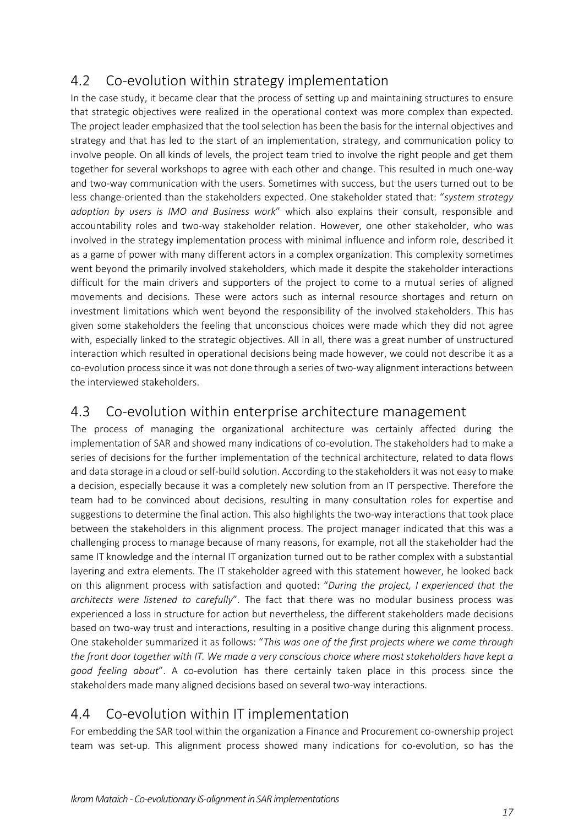# <span id="page-17-0"></span>4.2 Co-evolution within strategy implementation

In the case study, it became clear that the process of setting up and maintaining structures to ensure that strategic objectives were realized in the operational context was more complex than expected. The project leader emphasized that the tool selection has been the basis for the internal objectives and strategy and that has led to the start of an implementation, strategy, and communication policy to involve people. On all kinds of levels, the project team tried to involve the right people and get them together for several workshops to agree with each other and change. This resulted in much one-way and two-way communication with the users. Sometimes with success, but the users turned out to be less change-oriented than the stakeholders expected. One stakeholder stated that: "*system strategy adoption by users is IMO and Business work*" which also explains their consult, responsible and accountability roles and two-way stakeholder relation. However, one other stakeholder, who was involved in the strategy implementation process with minimal influence and inform role, described it as a game of power with many different actors in a complex organization. This complexity sometimes went beyond the primarily involved stakeholders, which made it despite the stakeholder interactions difficult for the main drivers and supporters of the project to come to a mutual series of aligned movements and decisions. These were actors such as internal resource shortages and return on investment limitations which went beyond the responsibility of the involved stakeholders. This has given some stakeholders the feeling that unconscious choices were made which they did not agree with, especially linked to the strategic objectives. All in all, there was a great number of unstructured interaction which resulted in operational decisions being made however, we could not describe it as a co-evolution processsince it was not done through a series of two-way alignment interactions between the interviewed stakeholders.

#### <span id="page-17-1"></span>4.3 Co-evolution within enterprise architecture management

The process of managing the organizational architecture was certainly affected during the implementation of SAR and showed many indications of co-evolution. The stakeholders had to make a series of decisions for the further implementation of the technical architecture, related to data flows and data storage in a cloud or self-build solution. According to the stakeholders it was not easy to make a decision, especially because it was a completely new solution from an IT perspective. Therefore the team had to be convinced about decisions, resulting in many consultation roles for expertise and suggestions to determine the final action. This also highlights the two-way interactions that took place between the stakeholders in this alignment process. The project manager indicated that this was a challenging process to manage because of many reasons, for example, not all the stakeholder had the same IT knowledge and the internal IT organization turned out to be rather complex with a substantial layering and extra elements. The IT stakeholder agreed with this statement however, he looked back on this alignment process with satisfaction and quoted: "*During the project, I experienced that the architects were listened to carefully*". The fact that there was no modular business process was experienced a loss in structure for action but nevertheless, the different stakeholders made decisions based on two-way trust and interactions, resulting in a positive change during this alignment process. One stakeholder summarized it as follows: "*This was one of the first projects where we came through the front door together with IT. We made a very conscious choice where most stakeholders have kept a good feeling about*". A co-evolution has there certainly taken place in this process since the stakeholders made many aligned decisions based on several two-way interactions.

#### <span id="page-17-2"></span>4.4 Co-evolution within IT implementation

For embedding the SAR tool within the organization a Finance and Procurement co-ownership project team was set-up. This alignment process showed many indications for co-evolution, so has the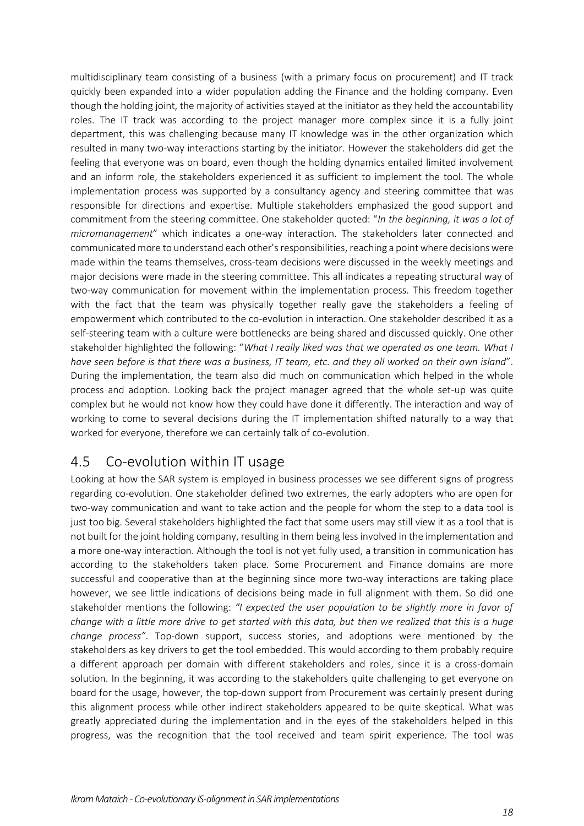multidisciplinary team consisting of a business (with a primary focus on procurement) and IT track quickly been expanded into a wider population adding the Finance and the holding company. Even though the holding joint, the majority of activities stayed at the initiator as they held the accountability roles. The IT track was according to the project manager more complex since it is a fully joint department, this was challenging because many IT knowledge was in the other organization which resulted in many two-way interactions starting by the initiator. However the stakeholders did get the feeling that everyone was on board, even though the holding dynamics entailed limited involvement and an inform role, the stakeholders experienced it as sufficient to implement the tool. The whole implementation process was supported by a consultancy agency and steering committee that was responsible for directions and expertise. Multiple stakeholders emphasized the good support and commitment from the steering committee. One stakeholder quoted: "*In the beginning, it was a lot of micromanagement*" which indicates a one-way interaction. The stakeholders later connected and communicated more to understand each other'sresponsibilities, reaching a point where decisions were made within the teams themselves, cross-team decisions were discussed in the weekly meetings and major decisions were made in the steering committee. This all indicates a repeating structural way of two-way communication for movement within the implementation process. This freedom together with the fact that the team was physically together really gave the stakeholders a feeling of empowerment which contributed to the co-evolution in interaction. One stakeholder described it as a self-steering team with a culture were bottlenecks are being shared and discussed quickly. One other stakeholder highlighted the following: "*What I really liked was that we operated as one team. What I have seen before is that there was a business, IT team, etc. and they all worked on their own island*". During the implementation, the team also did much on communication which helped in the whole process and adoption. Looking back the project manager agreed that the whole set-up was quite complex but he would not know how they could have done it differently. The interaction and way of working to come to several decisions during the IT implementation shifted naturally to a way that worked for everyone, therefore we can certainly talk of co-evolution.

#### <span id="page-18-0"></span>4.5 Co-evolution within IT usage

Looking at how the SAR system is employed in business processes we see different signs of progress regarding co-evolution. One stakeholder defined two extremes, the early adopters who are open for two-way communication and want to take action and the people for whom the step to a data tool is just too big. Several stakeholders highlighted the fact that some users may still view it as a tool that is not built for the joint holding company, resulting in them being less involved in the implementation and a more one-way interaction. Although the tool is not yet fully used, a transition in communication has according to the stakeholders taken place. Some Procurement and Finance domains are more successful and cooperative than at the beginning since more two-way interactions are taking place however, we see little indications of decisions being made in full alignment with them. So did one stakeholder mentions the following: *"I expected the user population to be slightly more in favor of change with a little more drive to get started with this data, but then we realized that this is a huge change process"*. Top-down support, success stories, and adoptions were mentioned by the stakeholders as key drivers to get the tool embedded. This would according to them probably require a different approach per domain with different stakeholders and roles, since it is a cross-domain solution. In the beginning, it was according to the stakeholders quite challenging to get everyone on board for the usage, however, the top-down support from Procurement was certainly present during this alignment process while other indirect stakeholders appeared to be quite skeptical. What was greatly appreciated during the implementation and in the eyes of the stakeholders helped in this progress, was the recognition that the tool received and team spirit experience. The tool was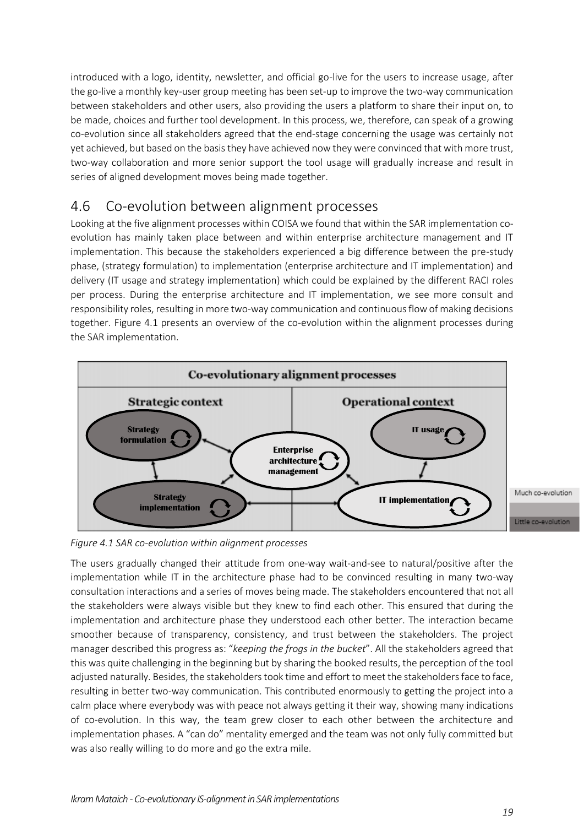introduced with a logo, identity, newsletter, and official go-live for the users to increase usage, after the go-live a monthly key-user group meeting has been set-up to improve the two-way communication between stakeholders and other users, also providing the users a platform to share their input on, to be made, choices and further tool development. In this process, we, therefore, can speak of a growing co-evolution since all stakeholders agreed that the end-stage concerning the usage was certainly not yet achieved, but based on the basis they have achieved now they were convinced that with more trust, two-way collaboration and more senior support the tool usage will gradually increase and result in series of aligned development moves being made together.

#### <span id="page-19-0"></span>4.6 Co-evolution between alignment processes

Looking at the five alignment processes within COISA we found that within the SAR implementation coevolution has mainly taken place between and within enterprise architecture management and IT implementation. This because the stakeholders experienced a big difference between the pre-study phase, (strategy formulation) to implementation (enterprise architecture and IT implementation) and delivery (IT usage and strategy implementation) which could be explained by the different RACI roles per process. During the enterprise architecture and IT implementation, we see more consult and responsibility roles, resulting in more two-way communication and continuous flow of making decisions together. Figure 4.1 presents an overview of the co-evolution within the alignment processes during the SAR implementation.



*Figure 4.1 SAR co-evolution within alignment processes*

The users gradually changed their attitude from one-way wait-and-see to natural/positive after the implementation while IT in the architecture phase had to be convinced resulting in many two-way consultation interactions and a series of moves being made. The stakeholders encountered that not all the stakeholders were always visible but they knew to find each other. This ensured that during the implementation and architecture phase they understood each other better. The interaction became smoother because of transparency, consistency, and trust between the stakeholders. The project manager described this progress as: "*keeping the frogs in the bucket*". All the stakeholders agreed that this was quite challenging in the beginning but by sharing the booked results, the perception of the tool adjusted naturally. Besides, the stakeholders took time and effort to meet the stakeholders face to face, resulting in better two-way communication. This contributed enormously to getting the project into a calm place where everybody was with peace not always getting it their way, showing many indications of co-evolution. In this way, the team grew closer to each other between the architecture and implementation phases. A "can do" mentality emerged and the team was not only fully committed but was also really willing to do more and go the extra mile.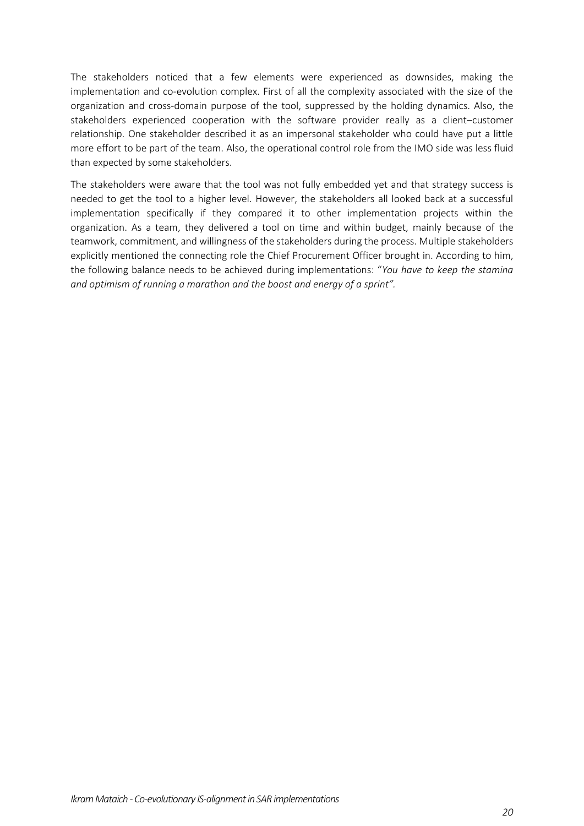The stakeholders noticed that a few elements were experienced as downsides, making the implementation and co-evolution complex. First of all the complexity associated with the size of the organization and cross-domain purpose of the tool, suppressed by the holding dynamics. Also, the stakeholders experienced cooperation with the software provider really as a client–customer relationship. One stakeholder described it as an impersonal stakeholder who could have put a little more effort to be part of the team. Also, the operational control role from the IMO side was less fluid than expected by some stakeholders.

The stakeholders were aware that the tool was not fully embedded yet and that strategy success is needed to get the tool to a higher level. However, the stakeholders all looked back at a successful implementation specifically if they compared it to other implementation projects within the organization. As a team, they delivered a tool on time and within budget, mainly because of the teamwork, commitment, and willingness of the stakeholders during the process. Multiple stakeholders explicitly mentioned the connecting role the Chief Procurement Officer brought in. According to him, the following balance needs to be achieved during implementations: "*You have to keep the stamina and optimism of running a marathon and the boost and energy of a sprint".*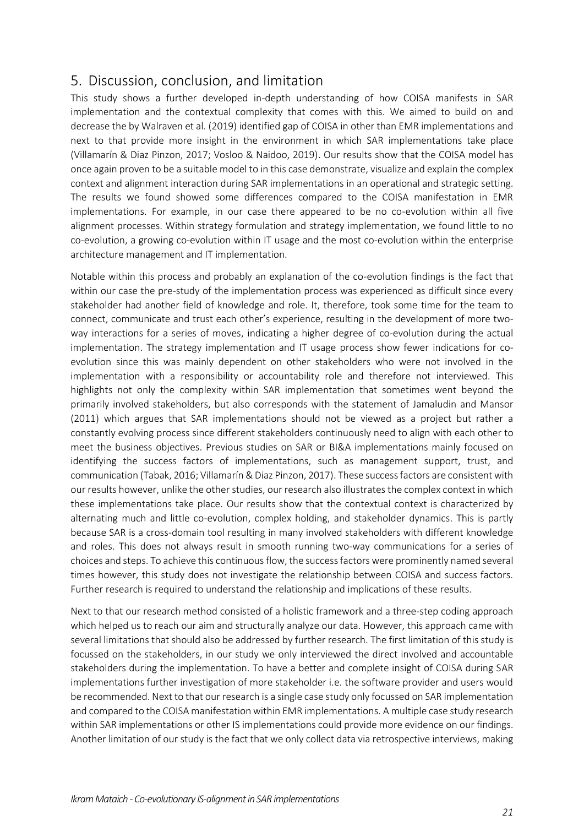#### <span id="page-21-0"></span>5. Discussion, conclusion, and limitation

This study shows a further developed in-depth understanding of how COISA manifests in SAR implementation and the contextual complexity that comes with this. We aimed to build on and decrease the by Walraven et al. (2019) identified gap of COISA in other than EMR implementations and next to that provide more insight in the environment in which SAR implementations take place (Villamarín & Diaz Pinzon, 2017; Vosloo & Naidoo, 2019). Our results show that the COISA model has once again proven to be a suitable model to in this case demonstrate, visualize and explain the complex context and alignment interaction during SAR implementations in an operational and strategic setting. The results we found showed some differences compared to the COISA manifestation in EMR implementations. For example, in our case there appeared to be no co-evolution within all five alignment processes. Within strategy formulation and strategy implementation, we found little to no co-evolution, a growing co-evolution within IT usage and the most co-evolution within the enterprise architecture management and IT implementation.

Notable within this process and probably an explanation of the co-evolution findings is the fact that within our case the pre-study of the implementation process was experienced as difficult since every stakeholder had another field of knowledge and role. It, therefore, took some time for the team to connect, communicate and trust each other's experience, resulting in the development of more twoway interactions for a series of moves, indicating a higher degree of co-evolution during the actual implementation. The strategy implementation and IT usage process show fewer indications for coevolution since this was mainly dependent on other stakeholders who were not involved in the implementation with a responsibility or accountability role and therefore not interviewed. This highlights not only the complexity within SAR implementation that sometimes went beyond the primarily involved stakeholders, but also corresponds with the statement of Jamaludin and Mansor (2011) which argues that SAR implementations should not be viewed as a project but rather a constantly evolving process since different stakeholders continuously need to align with each other to meet the business objectives. Previous studies on SAR or BI&A implementations mainly focused on identifying the success factors of implementations, such as management support, trust, and communication (Tabak, 2016; Villamarín & Diaz Pinzon, 2017). These success factors are consistent with our results however, unlike the other studies, our research also illustrates the complex context in which these implementations take place. Our results show that the contextual context is characterized by alternating much and little co-evolution, complex holding, and stakeholder dynamics. This is partly because SAR is a cross-domain tool resulting in many involved stakeholders with different knowledge and roles. This does not always result in smooth running two-way communications for a series of choices and steps. To achieve this continuous flow, the success factors were prominently named several times however, this study does not investigate the relationship between COISA and success factors. Further research is required to understand the relationship and implications of these results.

Next to that our research method consisted of a holistic framework and a three-step coding approach which helped us to reach our aim and structurally analyze our data. However, this approach came with several limitations that should also be addressed by further research. The first limitation of this study is focussed on the stakeholders, in our study we only interviewed the direct involved and accountable stakeholders during the implementation. To have a better and complete insight of COISA during SAR implementations further investigation of more stakeholder i.e. the software provider and users would be recommended. Next to that our research is a single case study only focussed on SAR implementation and compared to the COISA manifestation within EMR implementations. A multiple case study research within SAR implementations or other IS implementations could provide more evidence on our findings. Another limitation of our study is the fact that we only collect data via retrospective interviews, making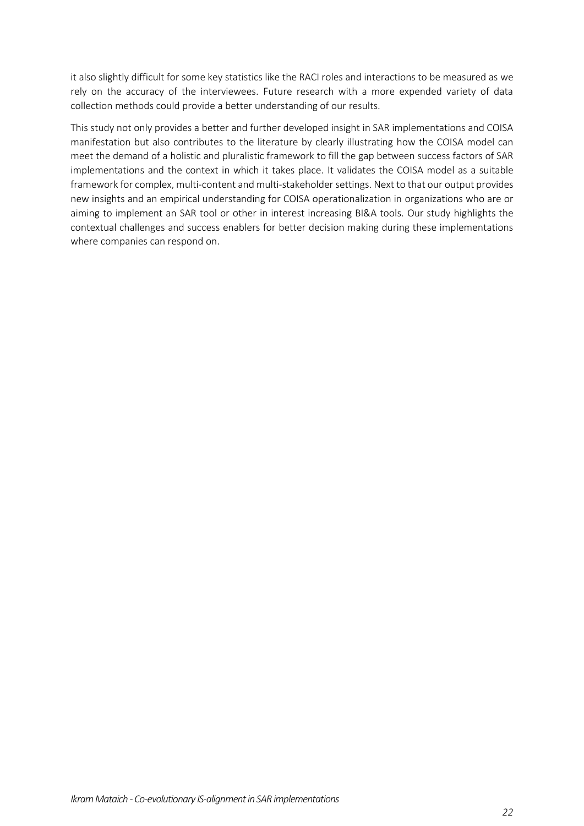it also slightly difficult for some key statistics like the RACI roles and interactions to be measured as we rely on the accuracy of the interviewees. Future research with a more expended variety of data collection methods could provide a better understanding of our results.

This study not only provides a better and further developed insight in SAR implementations and COISA manifestation but also contributes to the literature by clearly illustrating how the COISA model can meet the demand of a holistic and pluralistic framework to fill the gap between success factors of SAR implementations and the context in which it takes place. It validates the COISA model as a suitable framework for complex, multi-content and multi-stakeholder settings. Next to that our output provides new insights and an empirical understanding for COISA operationalization in organizations who are or aiming to implement an SAR tool or other in interest increasing BI&A tools. Our study highlights the contextual challenges and success enablers for better decision making during these implementations where companies can respond on.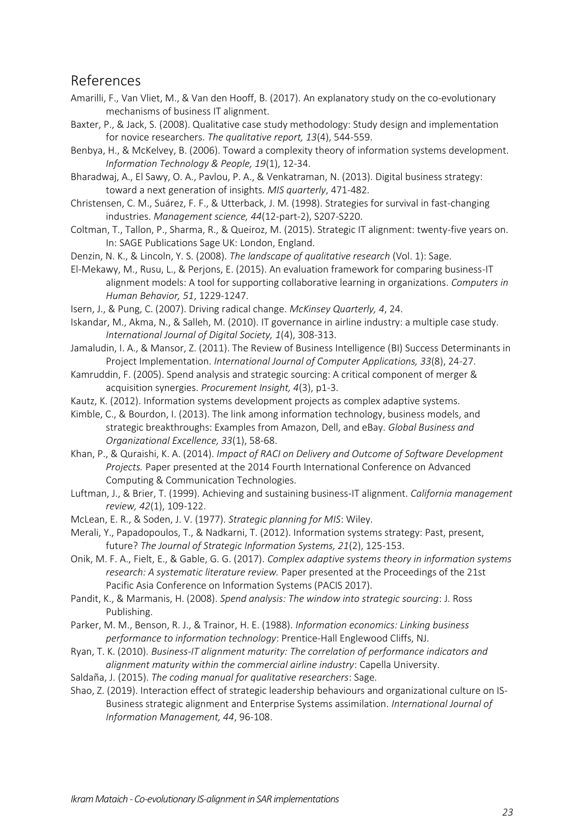#### <span id="page-23-0"></span>References

- Amarilli, F., Van Vliet, M., & Van den Hooff, B. (2017). An explanatory study on the co-evolutionary mechanisms of business IT alignment.
- Baxter, P., & Jack, S. (2008). Qualitative case study methodology: Study design and implementation for novice researchers. *The qualitative report, 13*(4), 544-559.
- Benbya, H., & McKelvey, B. (2006). Toward a complexity theory of information systems development. *Information Technology & People, 19*(1), 12-34.

Bharadwaj, A., El Sawy, O. A., Pavlou, P. A., & Venkatraman, N. (2013). Digital business strategy: toward a next generation of insights. *MIS quarterly*, 471-482.

Christensen, C. M., Suárez, F. F., & Utterback, J. M. (1998). Strategies for survival in fast-changing industries. *Management science, 44*(12-part-2), S207-S220.

Coltman, T., Tallon, P., Sharma, R., & Queiroz, M. (2015). Strategic IT alignment: twenty-five years on. In: SAGE Publications Sage UK: London, England.

Denzin, N. K., & Lincoln, Y. S. (2008). *The landscape of qualitative research* (Vol. 1): Sage.

El-Mekawy, M., Rusu, L., & Perjons, E. (2015). An evaluation framework for comparing business-IT alignment models: A tool for supporting collaborative learning in organizations. *Computers in Human Behavior, 51*, 1229-1247.

Isern, J., & Pung, C. (2007). Driving radical change. *McKinsey Quarterly, 4*, 24.

- Iskandar, M., Akma, N., & Salleh, M. (2010). IT governance in airline industry: a multiple case study. *International Journal of Digital Society, 1*(4), 308-313.
- Jamaludin, I. A., & Mansor, Z. (2011). The Review of Business Intelligence (BI) Success Determinants in Project Implementation. *International Journal of Computer Applications, 33*(8), 24-27.
- Kamruddin, F. (2005). Spend analysis and strategic sourcing: A critical component of merger & acquisition synergies. *Procurement Insight, 4*(3), p1-3.
- Kautz, K. (2012). Information systems development projects as complex adaptive systems.

Kimble, C., & Bourdon, I. (2013). The link among information technology, business models, and strategic breakthroughs: Examples from Amazon, Dell, and eBay. *Global Business and Organizational Excellence, 33*(1), 58-68.

Khan, P., & Quraishi, K. A. (2014). *Impact of RACI on Delivery and Outcome of Software Development Projects.* Paper presented at the 2014 Fourth International Conference on Advanced Computing & Communication Technologies.

Luftman, J., & Brier, T. (1999). Achieving and sustaining business-IT alignment. *California management review, 42*(1), 109-122.

McLean, E. R., & Soden, J. V. (1977). *Strategic planning for MIS*: Wiley.

Merali, Y., Papadopoulos, T., & Nadkarni, T. (2012). Information systems strategy: Past, present, future? *The Journal of Strategic Information Systems, 21*(2), 125-153.

Onik, M. F. A., Fielt, E., & Gable, G. G. (2017). *Complex adaptive systems theory in information systems research: A systematic literature review.* Paper presented at the Proceedings of the 21st Pacific Asia Conference on Information Systems (PACIS 2017).

Pandit, K., & Marmanis, H. (2008). *Spend analysis: The window into strategic sourcing*: J. Ross Publishing.

Parker, M. M., Benson, R. J., & Trainor, H. E. (1988). *Information economics: Linking business performance to information technology*: Prentice-Hall Englewood Cliffs, NJ.

Ryan, T. K. (2010). *Business-IT alignment maturity: The correlation of performance indicators and alignment maturity within the commercial airline industry*: Capella University.

Saldaña, J. (2015). *The coding manual for qualitative researchers*: Sage.

Shao, Z. (2019). Interaction effect of strategic leadership behaviours and organizational culture on IS-Business strategic alignment and Enterprise Systems assimilation. *International Journal of Information Management, 44*, 96-108.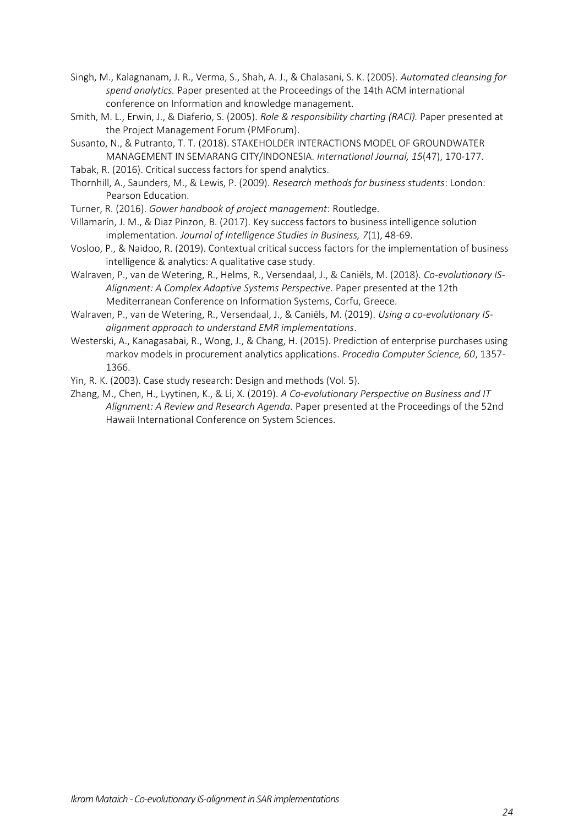- Singh, M., Kalagnanam, J. R., Verma, S., Shah, A. J., & Chalasani, S. K. (2005). *Automated cleansing for spend analytics.* Paper presented at the Proceedings of the 14th ACM international conference on Information and knowledge management.
- Smith, M. L., Erwin, J., & Diaferio, S. (2005). *Role & responsibility charting (RACI).* Paper presented at the Project Management Forum (PMForum).
- Susanto, N., & Putranto, T. T. (2018). STAKEHOLDER INTERACTIONS MODEL OF GROUNDWATER MANAGEMENT IN SEMARANG CITY/INDONESIA. *International Journal, 15*(47), 170-177.
- Tabak, R. (2016). Critical success factors for spend analytics.
- Thornhill, A., Saunders, M., & Lewis, P. (2009). *Research methods for business students*: London: Pearson Education.
- Turner, R. (2016). *Gower handbook of project management*: Routledge.
- Villamarín, J. M., & Diaz Pinzon, B. (2017). Key success factors to business intelligence solution implementation. *Journal of Intelligence Studies in Business, 7*(1), 48-69.
- Vosloo, P., & Naidoo, R. (2019). Contextual critical success factors for the implementation of business intelligence & analytics: A qualitative case study.
- Walraven, P., van de Wetering, R., Helms, R., Versendaal, J., & Caniëls, M. (2018). *Co-evolutionary IS-Alignment: A Complex Adaptive Systems Perspective.* Paper presented at the 12th Mediterranean Conference on Information Systems, Corfu, Greece.
- Walraven, P., van de Wetering, R., Versendaal, J., & Caniëls, M. (2019). *Using a co-evolutionary ISalignment approach to understand EMR implementations*.
- Westerski, A., Kanagasabai, R., Wong, J., & Chang, H. (2015). Prediction of enterprise purchases using markov models in procurement analytics applications. *Procedia Computer Science, 60*, 1357- 1366.
- Yin, R. K. (2003). Case study research: Design and methods (Vol. 5).
- Zhang, M., Chen, H., Lyytinen, K., & Li, X. (2019). *A Co-evolutionary Perspective on Business and IT Alignment: A Review and Research Agenda.* Paper presented at the Proceedings of the 52nd Hawaii International Conference on System Sciences.